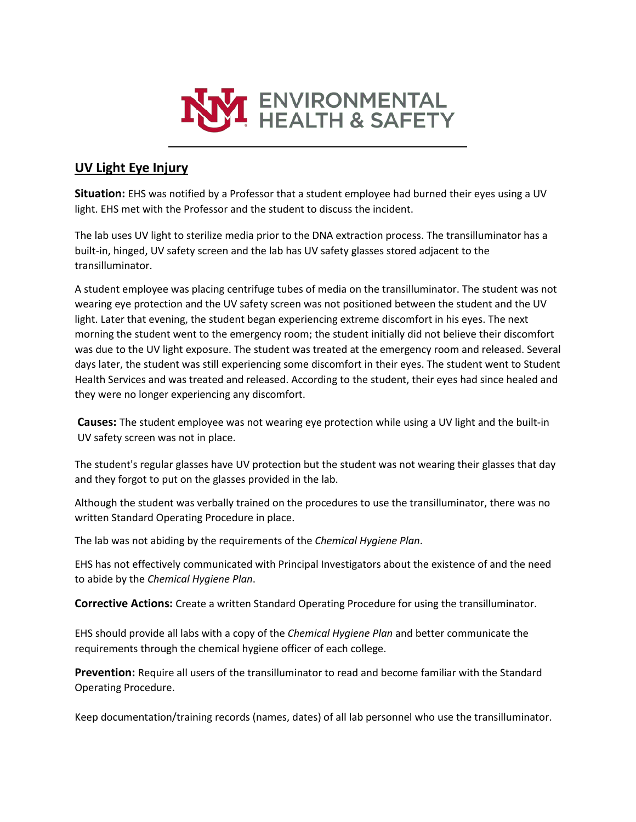

## **UV Light Eye Injury**

**Situation:** EHS was notified by a Professor that a student employee had burned their eyes using a UV light. EHS met with the Professor and the student to discuss the incident.

The lab uses UV light to sterilize media prior to the DNA extraction process. The transilluminator has a built-in, hinged, UV safety screen and the lab has UV safety glasses stored adjacent to the transilluminator.

A student employee was placing centrifuge tubes of media on the transilluminator. The student was not wearing eye protection and the UV safety screen was not positioned between the student and the UV light. Later that evening, the student began experiencing extreme discomfort in his eyes. The next morning the student went to the emergency room; the student initially did not believe their discomfort was due to the UV light exposure. The student was treated at the emergency room and released. Several days later, the student was still experiencing some discomfort in their eyes. The student went to Student Health Services and was treated and released. According to the student, their eyes had since healed and they were no longer experiencing any discomfort.

**Causes:** The student employee was not wearing eye protection while using a UV light and the built-in UV safety screen was not in place.

The student's regular glasses have UV protection but the student was not wearing their glasses that day and they forgot to put on the glasses provided in the lab.

Although the student was verbally trained on the procedures to use the transilluminator, there was no written Standard Operating Procedure in place.

The lab was not abiding by the requirements of the *Chemical Hygiene Plan*.

EHS has not effectively communicated with Principal Investigators about the existence of and the need to abide by the *Chemical Hygiene Plan*.

**Corrective Actions:** Create a written Standard Operating Procedure for using the transilluminator.

EHS should provide all labs with a copy of the *Chemical Hygiene Plan* and better communicate the requirements through the chemical hygiene officer of each college.

**Prevention:** Require all users of the transilluminator to read and become familiar with the Standard Operating Procedure.

Keep documentation/training records (names, dates) of all lab personnel who use the transilluminator.